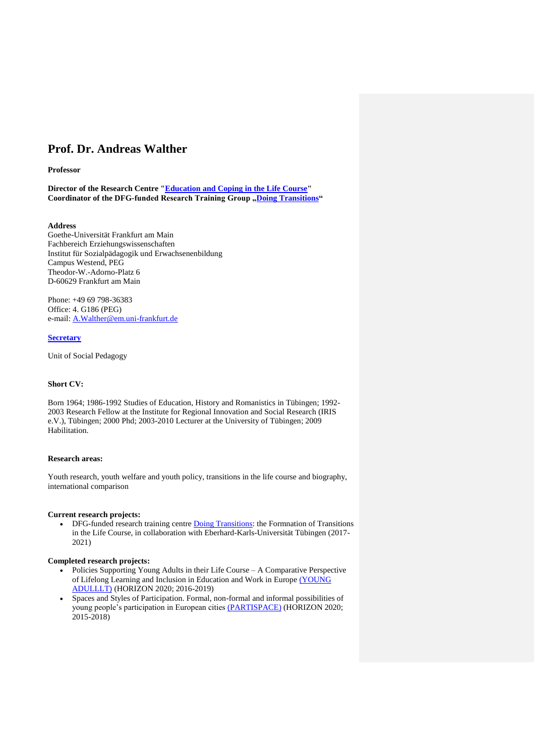# **Prof. Dr. Andreas Walther**

#### **Professor**

**Director of the Research Centre ["Education and Coping in the Life Course"](http://www.spf.uni-frankfurt.de/) Coordinator of the DFG-funded Research Training Group , Doing Transitions"** 

## **Address**

Goethe-Universität Frankfurt am Main Fachbereich Erziehungswissenschaften Institut für Sozialpädagogik und Erwachsenenbildung Campus Westend, PEG Theodor-W.-Adorno-Platz 6 D-60629 Frankfurt am Main

Phone: +49 69 798-36383 Office: 4. G186 (PEG) e-mail: [A.Walther@em.uni-frankfurt.de](mailto:A.Walther@em.uni-frankfurt.de)

# **[Secretary](https://qis.server.uni-frankfurt.de/qisserver/rds?state=verpublish&status=init&vmfile=no&moduleCall=webInfo&publishConfFile=webInfoEinrichtung&publishSubDir=einrichtung&keep=y&einrichtung.eid=040500)**

Unit of Social Pedagogy

# **Short CV:**

Born 1964; 1986-1992 Studies of Education, History and Romanistics in Tübingen; 1992- 2003 Research Fellow at the Institute for Regional Innovation and Social Research (IRIS e.V.), Tübingen; 2000 Phd; 2003-2010 Lecturer at the University of Tübingen; 2009 Habilitation.

#### **Research areas:**

Youth research, youth welfare and youth policy, transitions in the life course and biography, international comparison

#### **Current research projects:**

• DFG-funded research training centre **Doing Transitions**: the Formnation of Transitions in the Life Course, in collaboration with Eberhard-Karls-Universität Tübingen (2017- 2021)

#### **Completed research projects:**

- Policies Supporting Young Adults in their Life Course A Comparative Perspective of Lifelong Learning and Inclusion in Education and Work in Europe [\(YOUNG](http://www.young-adulllt.eu/)  [ADULLLT\)](http://www.young-adulllt.eu/) (HORIZON 2020; 2016-2019)
- Spaces and Styles of Participation. Formal, non-formal and informal possibilities of young people's participation in European cities [\(PARTISPACE\)](http://www.partispace.eu/) (HORIZON 2020; 2015-2018)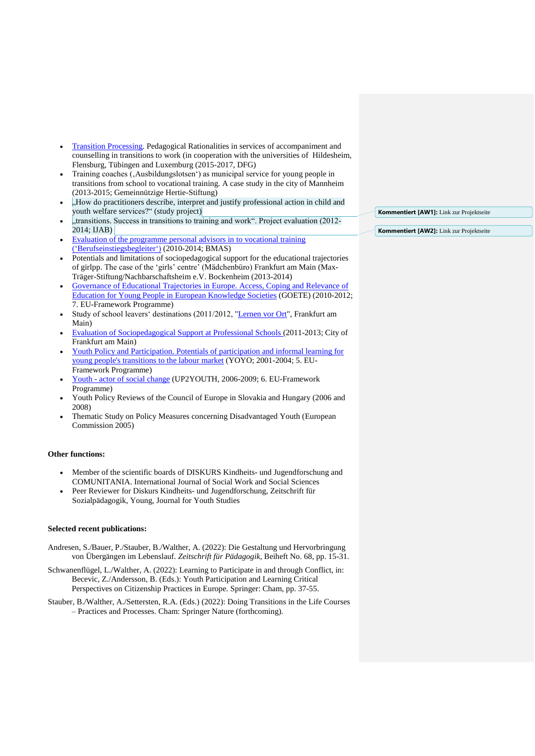- [Transition Processing.](https://www.uni-frankfurt.de/57487480/Trans-Pro) Pedagogical Rationalities in services of accompaniment and counselling in transitions to work (in cooperation with the universities of Hildesheim, Flensburg, Tübingen and Luxemburg (2015-2017, DFG)
- Training coaches (, Ausbildungslotsen') as municipal service for young people in transitions from school to vocational training. A case study in the city of Mannheim (2013-2015; Gemeinnützige Hertie-Stiftung)
- "How do practitioners describe, interpret and justify professional action in child and youth welfare services?" (study project)
- , transitions. Success in transitions to training and work". Project evaluation (2012-2014; IJAB)
- [Evaluation of the programme personal advisors in to vocational training](http://www.iaw.edu/iaw/De:Forschung:Arbeitsm%C3%A4rkte_und_Soziale_Sicherung:Laufende_Projekte:BerEB)  [\('Berufseinstiegsbegleiter'](http://www.iaw.edu/iaw/De:Forschung:Arbeitsm%C3%A4rkte_und_Soziale_Sicherung:Laufende_Projekte:BerEB)) (2010-2014; BMAS)
- Potentials and limitations of sociopedagogical support for the educational trajectories of girlpp. The case of the 'girls' centre' (Mädchenbüro) Frankfurt am Main (Max-Träger-Stiftung/Nachbarschaftsheim e.V. Bockenheim (2013-2014)
- [Governance of Educational Trajectories in Europe. Access, Coping and Relevance of](http://www.goete.eu/)  [Education for Young People in European Knowledge Societies](http://www.goete.eu/) (GOETE) (2010-2012; 7. EU-Framework Programme)
- Study of school leavers' destinations (2011/2012, ["Lernen vor Ort"](http://www.lernen-vor-ort.info/), Frankfurt am Main)
- [Evaluation of Sociopedagogical Support at Professional Schools \(](http://www.uni-frankfurt.de/fb/fb04/we5/SPF/Projekte/index.html)2011-2013; City of Frankfurt am Main)
- Youth Policy and Participation. Potentials of participation and informal learning for [young people's transitions to the labour market](http://www.iris-egris.de/yoyo/) (YOYO; 2001-2004; 5. EU-Framework Programme)
- Youth [actor of social change](http://www.up2youth.org/) (UP2YOUTH, 2006-2009; 6. EU-Framework Programme)
- Youth Policy Reviews of the Council of Europe in Slovakia and Hungary (2006 and 2008)
- Thematic Study on Policy Measures concerning Disadvantaged Youth (European Commission 2005)

# **Other functions:**

- Member of the scientific boards of DISKURS Kindheits- und Jugendforschung and COMUNITANIA. International Journal of Social Work and Social Sciences
- Peer Reviewer for Diskurs Kindheits- und Jugendforschung, Zeitschrift für Sozialpädagogik, Young, Journal for Youth Studies

## **Selected recent publications:**

- Andresen, S./Bauer, P./Stauber, B./Walther, A. (2022): Die Gestaltung und Hervorbringung von Übergängen im Lebenslauf. *Zeitschrift für Pädagogik*, Beiheft No. 68, pp. 15-31.
- Schwanenflügel, L./Walther, A. (2022): Learning to Participate in and through Conflict, in: Becevic, Z./Andersson, B. (Eds.): Youth Participation and Learning Critical Perspectives on Citizenship Practices in Europe. Springer: Cham, pp. 37-55.
- Stauber, B./Walther, A./Settersten, R.A. (Eds.) (2022): Doing Transitions in the Life Courses – Practices and Processes. Cham: Springer Nature (forthcoming).

**Kommentiert [AW1]:** Link zur Projektseite

**Kommentiert [AW2]:** Link zur Projektseite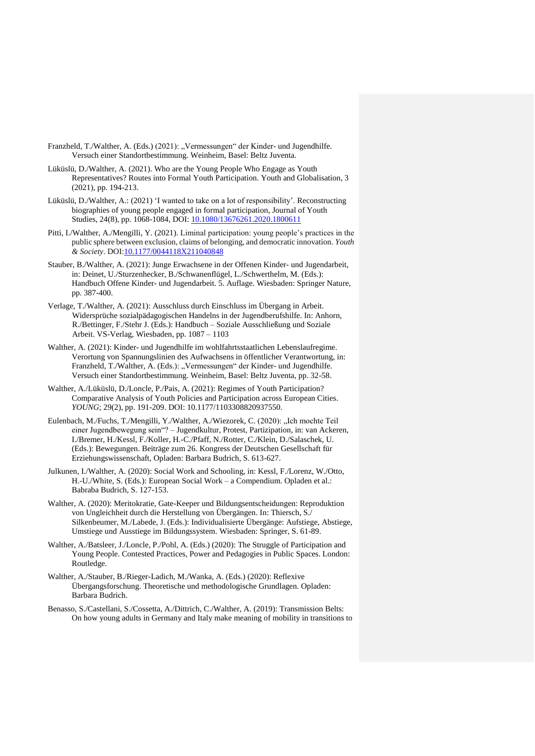- Franzheld, T./Walther, A. (Eds.) (2021): "Vermessungen" der Kinder- und Jugendhilfe. Versuch einer Standortbestimmung. Weinheim, Basel: Beltz Juventa.
- Lüküslü, D./Walther, A. (2021). Who are the Young People Who Engage as Youth Representatives? Routes into Formal Youth Participation. Youth and Globalisation, 3 (2021), pp. 194-213.
- Lüküslü, D./Walther, A.: (2021) 'I wanted to take on a lot of responsibility'. Reconstructing biographies of young people engaged in formal participation, Journal of Youth Studies, 24(8), pp. 1068-1084, DOI: [10.1080/13676261.2020.1800611](https://doi.org/10.1080/13676261.2020.1800611)
- Pitti, I./Walther, A./Mengilli, Y. (2021). Liminal participation: young people's practices in the public sphere between exclusion, claims of belonging, and democratic innovation. *Youth & Society*. DOI[:10.1177/0044118X211040848](https://doi.org/10.1177/0044118X211040848)
- Stauber, B./Walther, A. (2021): Junge Erwachsene in der Offenen Kinder- und Jugendarbeit, in: Deinet, U./Sturzenhecker, B./Schwanenflügel, L./Schwerthelm, M. (Eds.): Handbuch Offene Kinder- und Jugendarbeit. 5. Auflage. Wiesbaden: Springer Nature, pp. 387-400.
- Verlage, T./Walther, A. (2021): Ausschluss durch Einschluss im Übergang in Arbeit. Widersprüche sozialpädagogischen Handelns in der Jugendberufshilfe. In: Anhorn, R./Bettinger, F./Stehr J. (Eds.): Handbuch – Soziale Ausschließung und Soziale Arbeit. VS-Verlag, Wiesbaden, pp. 1087 – 1103
- Walther, A. (2021): Kinder- und Jugendhilfe im wohlfahrtsstaatlichen Lebenslaufregime. Verortung von Spannungslinien des Aufwachsens in öffentlicher Verantwortung, in: Franzheld, T./Walther, A. (Eds.): "Vermessungen" der Kinder- und Jugendhilfe. Versuch einer Standortbestimmung. Weinheim, Basel: Beltz Juventa, pp. 32-58.
- Walther, A./Lüküslü, D./Loncle, P./Pais, A. (2021): Regimes of Youth Participation? Comparative Analysis of Youth Policies and Participation across European Cities. *YOUNG*; 29(2), pp. 191-209. DOI: 10.1177/1103308820937550.
- Eulenbach, M./Fuchs, T./Mengilli, Y./Walther, A./Wiezorek, C. (2020): "Ich mochte Teil einer Jugendbewegung sein"? – Jugendkultur, Protest, Partizipation, in: van Ackeren, I./Bremer, H./Kessl, F./Koller, H.-C./Pfaff, N./Rotter, C./Klein, D./Salaschek, U. (Eds.): Bewegungen. Beiträge zum 26. Kongress der Deutschen Gesellschaft für Erziehungswissenschaft, Opladen: Barbara Budrich, S. 613-627.
- Julkunen, I./Walther, A. (2020): Social Work and Schooling, in: Kessl, F./Lorenz, W./Otto, H.-U./White, S. (Eds.): European Social Work – a Compendium. Opladen et al.: Babraba Budrich, S. 127-153.
- Walther, A. (2020): Meritokratie, Gate-Keeper und Bildungsentscheidungen: Reproduktion von Ungleichheit durch die Herstellung von Übergängen. In: Thiersch, S./ Silkenbeumer, M./Labede, J. (Eds.): Individualisierte Übergänge: Aufstiege, Abstiege, Umstiege und Ausstiege im Bildungssystem. Wiesbaden: Springer, S. 61-89.
- Walther, A./Batsleer, J./Loncle, P./Pohl, A. (Eds.) (2020): The Struggle of Participation and Young People. Contested Practices, Power and Pedagogies in Public Spaces. London: Routledge.
- Walther, A./Stauber, B./Rieger-Ladich, M./Wanka, A. (Eds.) (2020): Reflexive Übergangsforschung. Theoretische und methodologische Grundlagen. Opladen: Barbara Budrich.
- Benasso, S./Castellani, S./Cossetta, A./Dittrich, C./Walther, A. (2019): Transmission Belts: On how young adults in Germany and Italy make meaning of mobility in transitions to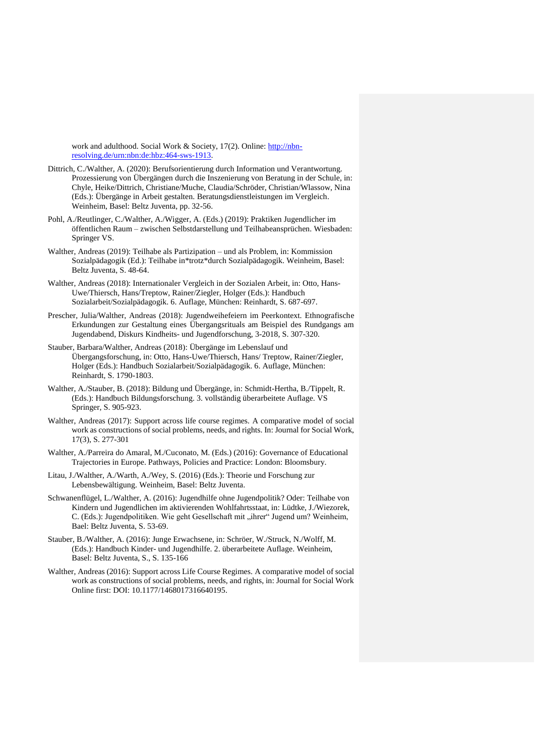work and adulthood. Social Work & Society, 17(2). Online: [http://nbn](http://nbn-resolving.de/urn:nbn:de:hbz:464-sws-1913)[resolving.de/urn:nbn:de:hbz:464-sws-1913.](http://nbn-resolving.de/urn:nbn:de:hbz:464-sws-1913)

- Dittrich, C./Walther, A. (2020): Berufsorientierung durch Information und Verantwortung. Prozessierung von Übergängen durch die Inszenierung von Beratung in der Schule, in: Chyle, Heike/Dittrich, Christiane/Muche, Claudia/Schröder, Christian/Wlassow, Nina (Eds.): Übergänge in Arbeit gestalten. Beratungsdienstleistungen im Vergleich. Weinheim, Basel: Beltz Juventa, pp. 32-56.
- Pohl, A./Reutlinger, C./Walther, A./Wigger, A. (Eds.) (2019): Praktiken Jugendlicher im öffentlichen Raum – zwischen Selbstdarstellung und Teilhabeansprüchen. Wiesbaden: Springer VS.
- Walther, Andreas (2019): Teilhabe als Partizipation und als Problem, in: Kommission Sozialpädagogik (Ed.): Teilhabe in\*trotz\*durch Sozialpädagogik. Weinheim, Basel: Beltz Juventa, S. 48-64.
- Walther, Andreas (2018): Internationaler Vergleich in der Sozialen Arbeit, in: Otto, Hans-Uwe/Thiersch, Hans/Treptow, Rainer/Ziegler, Holger (Eds.): Handbuch Sozialarbeit/Sozialpädagogik. 6. Auflage, München: Reinhardt, S. 687-697.
- Prescher, Julia/Walther, Andreas (2018): Jugendweihefeiern im Peerkontext. Ethnografische Erkundungen zur Gestaltung eines Übergangsrituals am Beispiel des Rundgangs am Jugendabend, Diskurs Kindheits- und Jugendforschung, 3-2018, S. 307-320.
- Stauber, Barbara/Walther, Andreas (2018): Übergänge im Lebenslauf und Übergangsforschung, in: Otto, Hans-Uwe/Thiersch, Hans/ Treptow, Rainer/Ziegler, Holger (Eds.): Handbuch Sozialarbeit/Sozialpädagogik. 6. Auflage, München: Reinhardt, S. 1790-1803.
- Walther, A./Stauber, B. (2018): Bildung und Übergänge, in: Schmidt-Hertha, B./Tippelt, R. (Eds.): Handbuch Bildungsforschung. 3. vollständig überarbeitete Auflage. VS Springer, S. 905-923.
- Walther, Andreas (2017): Support across life course regimes. A comparative model of social work as constructions of social problems, needs, and rights. In: Journal for Social Work, 17(3), S. 277-301
- Walther, A./Parreira do Amaral, M./Cuconato, M. (Eds.) (2016): Governance of Educational Trajectories in Europe. Pathways, Policies and Practice: London: Bloomsbury.
- Litau, J./Walther, A./Warth, A./Wey, S. (2016) (Eds.): Theorie und Forschung zur Lebensbewältigung. Weinheim, Basel: Beltz Juventa.
- Schwanenflügel, L./Walther, A. (2016): Jugendhilfe ohne Jugendpolitik? Oder: Teilhabe von Kindern und Jugendlichen im aktivierenden Wohlfahrtsstaat, in: Lüdtke, J./Wiezorek, C. (Eds.): Jugendpolitiken. Wie geht Gesellschaft mit "ihrer" Jugend um? Weinheim, Bael: Beltz Juventa, S. 53-69.
- Stauber, B./Walther, A. (2016): Junge Erwachsene, in: Schröer, W./Struck, N./Wolff, M. (Eds.): Handbuch Kinder- und Jugendhilfe. 2. überarbeitete Auflage. Weinheim, Basel: Beltz Juventa, S., S. 135-166
- Walther, Andreas (2016): Support across Life Course Regimes. A comparative model of social work as constructions of social problems, needs, and rights, in: Journal for Social Work Online first: DOI: 10.1177/1468017316640195.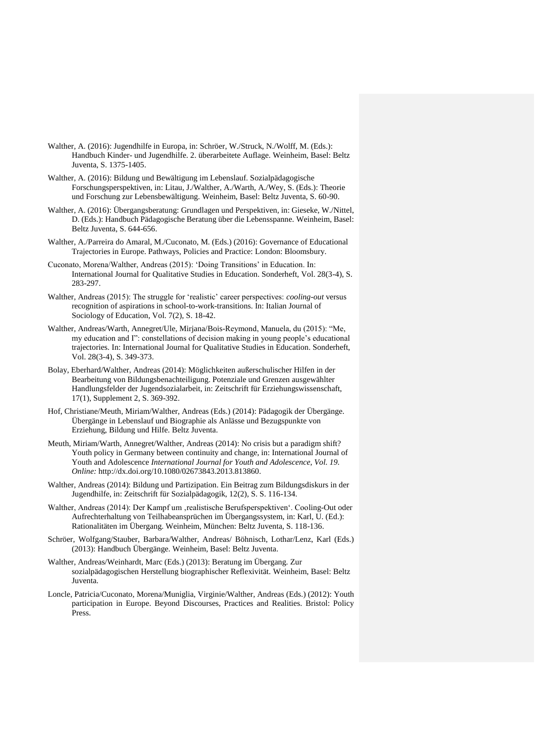- Walther, A. (2016): Jugendhilfe in Europa, in: Schröer, W./Struck, N./Wolff, M. (Eds.): Handbuch Kinder- und Jugendhilfe. 2. überarbeitete Auflage. Weinheim, Basel: Beltz Juventa, S. 1375-1405.
- Walther, A. (2016): Bildung und Bewältigung im Lebenslauf. Sozialpädagogische Forschungsperspektiven, in: Litau, J./Walther, A./Warth, A./Wey, S. (Eds.): Theorie und Forschung zur Lebensbewältigung. Weinheim, Basel: Beltz Juventa, S. 60-90.
- Walther, A. (2016): Übergangsberatung: Grundlagen und Perspektiven, in: Gieseke, W./Nittel, D. (Eds.): Handbuch Pädagogische Beratung über die Lebensspanne. Weinheim, Basel: Beltz Juventa, S. 644-656.
- Walther, A./Parreira do Amaral, M./Cuconato, M. (Eds.) (2016): Governance of Educational Trajectories in Europe. Pathways, Policies and Practice: London: Bloomsbury.
- Cuconato, Morena/Walther, Andreas (2015): 'Doing Transitions' in Education. In: International Journal for Qualitative Studies in Education. Sonderheft, Vol. 28(3-4), S. 283-297.
- Walther, Andreas (2015): The struggle for 'realistic' career perspectives: *cooling-out* versus recognition of aspirations in school-to-work-transitions. In: Italian Journal of Sociology of Education, Vol. 7(2), S. 18-42.
- Walther, Andreas/Warth, Annegret/Ule, Mirjana/Bois-Reymond, Manuela, du (2015): "Me, my education and I": constellations of decision making in young people's educational trajectories. In: International Journal for Qualitative Studies in Education. Sonderheft, Vol. 28(3-4), S. 349-373.
- Bolay, Eberhard/Walther, Andreas (2014): Möglichkeiten außerschulischer Hilfen in der Bearbeitung von Bildungsbenachteiligung. Potenziale und Grenzen ausgewählter Handlungsfelder der Jugendsozialarbeit, in: Zeitschrift für Erziehungswissenschaft, 17(1), Supplement 2, S. 369-392.
- Hof, Christiane/Meuth, Miriam/Walther, Andreas (Eds.) (2014): Pädagogik der Übergänge. Übergänge in Lebenslauf und Biographie als Anlässe und Bezugspunkte von Erziehung, Bildung und Hilfe. Beltz Juventa.
- Meuth, Miriam/Warth, Annegret/Walther, Andreas (2014): No crisis but a paradigm shift? Youth policy in Germany between continuity and change, in: International Journal of Youth and Adolescence *International Journal for Youth and Adolescence, Vol. 19. Online:* http://dx.doi.org/10.1080/02673843.2013.813860.
- Walther, Andreas (2014): Bildung und Partizipation. Ein Beitrag zum Bildungsdiskurs in der Jugendhilfe, in: Zeitschrift für Sozialpädagogik, 12(2), S. S. 116-134.
- Walther, Andreas (2014): Der Kampf um , realistische Berufsperspektiven'. Cooling-Out oder Aufrechterhaltung von Teilhabeansprüchen im Übergangssystem, in: Karl, U. (Ed.): Rationalitäten im Übergang. Weinheim, München: Beltz Juventa, S. 118-136.
- Schröer, Wolfgang/Stauber, Barbara/Walther, Andreas/ Böhnisch, Lothar/Lenz, Karl (Eds.) (2013): Handbuch Übergänge. Weinheim, Basel: Beltz Juventa.
- Walther, Andreas/Weinhardt, Marc (Eds.) (2013): Beratung im Übergang. Zur sozialpädagogischen Herstellung biographischer Reflexivität. Weinheim, Basel: Beltz Juventa.
- Loncle, Patricia/Cuconato, Morena/Muniglia, Virginie/Walther, Andreas (Eds.) (2012): Youth participation in Europe. Beyond Discourses, Practices and Realities. Bristol: Policy Press.